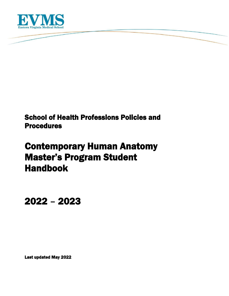

# School of Health Professions Policies and Procedures

# Contemporary Human Anatomy Master's Program Student Handbook

2022 – 2023

Last updated May 2022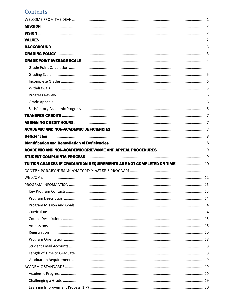# Contents

| <b>MISSION</b> .                                                        |  |
|-------------------------------------------------------------------------|--|
|                                                                         |  |
|                                                                         |  |
|                                                                         |  |
|                                                                         |  |
|                                                                         |  |
|                                                                         |  |
|                                                                         |  |
|                                                                         |  |
|                                                                         |  |
|                                                                         |  |
|                                                                         |  |
|                                                                         |  |
|                                                                         |  |
|                                                                         |  |
|                                                                         |  |
|                                                                         |  |
|                                                                         |  |
|                                                                         |  |
|                                                                         |  |
| TUITION CHARGES IF GRADUATION REQUIREMENTS ARE NOT COMPLETED ON TIME 10 |  |
|                                                                         |  |
|                                                                         |  |
|                                                                         |  |
|                                                                         |  |
|                                                                         |  |
|                                                                         |  |
|                                                                         |  |
|                                                                         |  |
|                                                                         |  |
|                                                                         |  |
|                                                                         |  |
|                                                                         |  |
|                                                                         |  |
|                                                                         |  |
|                                                                         |  |
|                                                                         |  |
|                                                                         |  |
|                                                                         |  |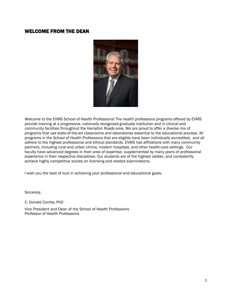# <span id="page-3-0"></span>WELCOME FROM THE DEAN



Welcome to the EVMS School of Health Professions! The health professions programs offered by EVMS provide training at a progressive, nationally recognized graduate institution and in clinical and community facilities throughout the Hampton Roads area. We are proud to offer a diverse mix of programs that use state-of-the-art classrooms and laboratories essential to the educational process. All programs in the School of Health Professions that are eligible have been individually accredited, and all adhere to the highest professional and ethical standards. EVMS has affiliations with many community partners, including rural and urban clinics, modern hospitals, and other health-care settings. Our faculty have advanced degrees in their area of expertise, supplemented by many years of professional experience in their respective disciplines. Our students are of the highest caliber, and consistently achieve highly competitive scores on licensing and related examinations.

I wish you the best of luck in achieving your professional and educational goals.

Sincerely,

C. Donald Combs, PhD

Vice President and Dean of the School of Health Professions Professor of Health Professions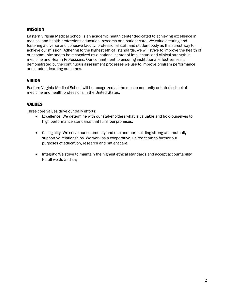# <span id="page-4-0"></span>MISSION

Eastern Virginia Medical School is an academic health center dedicated to achieving excellence in medical and health professions education, research and patient care. We value creating and fostering a diverse and cohesive faculty, professional staff and student body as the surest way to achieve our mission. Adhering to the highest ethical standards, we will strive to improve the health of our community and to be recognized as a national center of intellectual and clinical strength in medicine and Health Professions. Our commitment to ensuring institutional effectiveness is demonstrated by the continuous assessment processes we use to improve program performance and student learning outcomes.

# <span id="page-4-1"></span>VISION

Eastern Virginia Medical School will be recognized as the most community-oriented school of medicine and health professions in the United States.

# <span id="page-4-2"></span>**VALUES**

Three core values drive our daily efforts:

- Excellence: We determine with our stakeholders what is valuable and hold ourselves to high performance standards that fulfill our promises.
- Collegiality: We serve our community and one another, building strong and mutually supportive relationships. We work as a cooperative, united team to further our purposes of education, research and patient care.
- Integrity: We strive to maintain the highest ethical standards and accept accountability for all we do and say.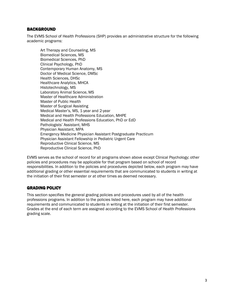# <span id="page-5-0"></span>BACKGROUND

The EVMS School of Health Professions (SHP) provides an administrative structure for the following academic programs:

Art Therapy and Counseling, MS Biomedical Sciences, MS Biomedical Sciences, PhD Clinical Psychology, PhD Contemporary Human Anatomy, MS Doctor of Medical Science, DMSc Health Sciences, DHSc Healthcare Analytics, MHCA Histotechnology, MS Laboratory Animal Science, MS Master of Healthcare Administration Master of Public Health Master of Surgical Assisting Medical Master's, MS, 1-year and 2-year Medical and Health Professions Education, MHPE Medical and Health Professions Education, PhD or EdD Pathologists' Assistant, MHS Physician Assistant, MPA Emergency Medicine Physician Assistant Postgraduate Practicum Physician Assistant Fellowship in Pediatric Urgent Care Reproductive Clinical Science, MS Reproductive Clinical Science, PhD

EVMS serves as the school of record for all programs shown above except Clinical Psychology; other policies and procedures may be applicable for that program based on school of record responsibilities. In addition to the policies and procedures depicted below, each program may have additional grading or other essential requirements that are communicated to students in writing at the initiation of their first semester or at other times as deemed necessary.

# <span id="page-5-1"></span>GRADING POLICY

This section specifies the general grading policies and procedures used by all of the health professions programs. In addition to the policies listed here, each program may have additional requirements and communicated to students in writing at the initiation of their first semester. Grades at the end of each term are assigned according to the EVMS School of Health Professions grading scale.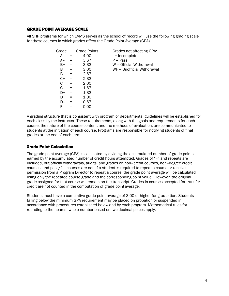# <span id="page-6-0"></span>GRADE POINT AVERAGE SCALE

All SHP programs for which EVMS serves as the school of record will use the following grading scale for those courses in which grades affect the Grade Point Average (GPA).

| Grade |     | <b>Grade Points</b> | Grades not affecting GPA:  |
|-------|-----|---------------------|----------------------------|
| Α     | =   | 4.00                | $l = Incomplete$           |
| А-    | =   | 3.67                | $P = Pass$                 |
| B+    | $=$ | 3.33                | W = Official Withdrawal    |
| B     | $=$ | 3.00                | WF = Unofficial Withdrawal |
| B-    | =   | 2.67                |                            |
| C+    | =   | 2.33                |                            |
| C     | $=$ | 2.00                |                            |
| C-    | $=$ | 1.67                |                            |
| D+    | =   | 1.33                |                            |
| D     | =   | 1.00                |                            |
| D-    |     | 0.67                |                            |
| F     |     | 0.00                |                            |
|       |     |                     |                            |

A grading structure that is consistent with program or departmental guidelines will be established for each class by the instructor. These requirements, along with the goals and requirements for each course, the nature of the course content, and the methods of evaluation, are communicated to students at the initiation of each course. Programs are responsible for notifying students of final grades at the end of each term.

# <span id="page-6-1"></span>Grade Point Calculation

The grade point average (GPA) is calculated by dividing the accumulated number of grade points earned by the accumulated number of credit hours attempted. Grades of "F" and repeats are included, but official withdrawals, audits, and grades on non–credit courses, non–degree credit courses, and pass/fail courses are not. If a student is required to repeat a course or receives permission from a Program Director to repeat a course, the grade point average will be calculated using only the repeated course grade and the corresponding point value. However, the original grade assigned for that course will remain on the transcript. Grades in courses accepted for transfer credit are not counted in the computation of grade point average.

Students must have a cumulative grade point average of 3.00 or higher for graduation. Students falling below the minimum GPA requirement may be placed on probation or suspended in accordance with procedures established below and by each program. Mathematical rules for rounding to the nearest whole number based on two decimal places apply.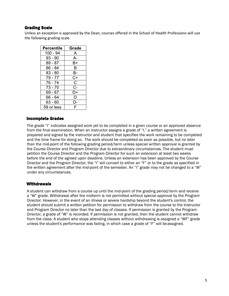# <span id="page-7-0"></span>Grading Scale

Unless an exception is approved by the Dean, courses offered in the School of Health Professions will use the following grading scale.

| <b>Percentile</b> | Grade |
|-------------------|-------|
| $100 - 94$        | A     |
| $93 - 90$         | A-    |
| 89 - 87           | В+    |
| 86 - 84           | B     |
| $83 - 80$         | B-    |
| 79 - 77           | C+    |
| 76 - 74           | C     |
| 73 - 70           | C-    |
| 69 - 67           | D+    |
| 66 - 64           | D     |
| 63 - 60           | D-    |
| 59 or less        | F     |

# <span id="page-7-1"></span>Incomplete Grades

The grade "I" indicates assigned work yet to be completed in a given course or an approved absence from the final examination. When an instructor assigns a grade of "I," a written agreement is prepared and signed by the instructor and student that specifies the work remaining to be completed and the time frame for doing so. The work should be completed as soon as possible, but no later than the mid-point of the following grading period/term unless special written approval is granted by the Course Director and Program Director due to extraordinary circumstances. The student must petition the Course Director and the Program Director for such an extension at least two weeks before the end of the agreed upon deadline. Unless an extension has been approved by the Course Director and the Program Director, the "I" will convert to either an "F" or to the grade as specified in the written agreement after the mid-point of the semester. An "I" grade may not be changed to a "W" under any circumstances.

# <span id="page-7-2"></span>**Withdrawals**

A student can withdraw from a course up until the mid-point of the grading period/term and receive a "W" grade. Withdrawal after the midterm is not permitted without special approval by the Program Director. However, in the event of an illness or severe hardship beyond the student's control, the student should submit a written petition for permission to withdraw from the course to the Instructor and Program Director no later than the last day of classes. If permission is granted by the Program Director, a grade of "W" is recorded. If permission is not granted, then the student cannot withdraw from the class. A student who stops attending classes without withdrawing is assigned a "WF" grade unless the student's performance was failing, in which case a grade of "F" will beassigned.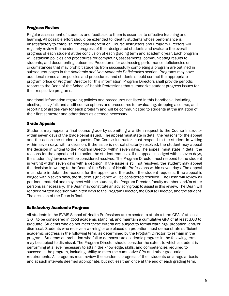# <span id="page-8-0"></span>Progress Review

Regular assessment of students and feedback to them is essential to effective teaching and learning. All possible effort should be extended to identify students whose performance is unsatisfactory to establish remedial intervention. Course Instructors and Program Directors will regularly review the academic progress of their designated students and evaluate the overall progress of each student at the conclusion of each grading term and academic year. Each program will establish policies and procedures for completing assessments, communicating results to students, and documenting outcomes. Procedures for addressing performance deficiencies or circumstances that may prohibit students from successfully completing a program are outlined in subsequent pages in the *Academic and Non-Academic Deficiencies* section. Programs may have additional remediation policies and procedures, and students should contact the appropriate program office or Program Director for this information. Program Directors shall provide periodic reports to the Dean of the School of Health Professions that summarize student progress issues for their respective programs.

Additional information regarding policies and procedures not listed in this Handbook, including elective, pass/fail, and audit course options and procedures for evaluating, dropping a course, and reporting of grades vary for each program and will be communicated to students at the initiation of their first semester and other times as deemed necessary.

# <span id="page-8-1"></span>Grade Appeals

Students may appeal a final course grade by submitting a written request to the Course Instructor within seven days of the grade being issued. The appeal must state in detail the reasons for the appeal and the action the student requests. The Course Instructor must respond to the student in writing within seven days with a decision. If the issue is not satisfactorily resolved, the student may appeal the decision in writing to the Program Director within seven days. The appeal must state in detail the reasons for the appeal and the action the student requests. If no appeal is lodged within seven days, the student's grievance will be considered resolved. The Program Director must respond to the student in writing within seven days with a decision. If the issue is still not resolved, the student may appeal the decision in writing to the Dean of the School of Health Professions within seven days. The appeal must state in detail the reasons for the appeal and the action the student requests. If no appeal is lodged within seven days, the student's grievance will be considered resolved. The Dean will review all pertinent material and may meet with the student, the Program Director, faculty member, and/or other persons as necessary. The Dean may constitute an advisory group to assist in this review. The Dean will render a written decision within ten days to the Program Director, the Course Director, and the student. The decision of the Dean is final.

# <span id="page-8-2"></span>Satisfactory Academic Progress

All students in the EVMS School of Health Professions are expected to attain a term GPA of at least 3.0 to be considered in good academic standing, and maintain a cumulative GPA of at least 3.00 to graduate. Students who do not meet these criteria are subject to formal warnings, probation, and/or dismissal. Students who receive a warning or are placed on probation must demonstrate sufficient academic progress in the following term, as determined by the Program Director, to remain in the program. Students on probation who fail to demonstrate academic progress in the following term may be subject to dismissal. The Program Director should consider the extent to which a student is performing at a level necessary to attain the knowledge, skills, and competencies required to succeed in the program, including ability to meet the cumulative GPA and other graduation requirements. All programs must review the academic progress of their students on a regular basis and at such intervals deemed appropriate, but not less than once at the end of each grading term.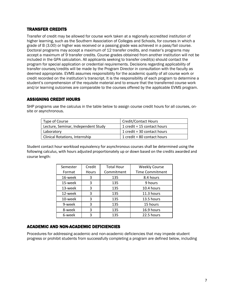# <span id="page-9-0"></span>TRANSFER CREDITS

Transfer of credit may be allowed for course work taken at a regionally accredited institution of higher learning, such as the Southern Association of Colleges and Schools, for courses in which a grade of B (3.00) or higher was received or a passing grade was achieved in a pass/fail course. Doctoral programs may accept a maximum of 12 transfer credits, and master's programs may accept a maximum of 9 transfer credits. Course grades obtained from another institution will not be included in the GPA calculation. All applicants seeking to transfer credit(s) should contact the program for special application or credential requirements. Decisions regarding applicability of transfer courses/credits will be made by the Program Director in consultation with the faculty as deemed appropriate. EVMS assumes responsibility for the academic quality of all course work or credit recorded on the institution's transcript. It is the responsibility of each program to determine a student's comprehension of the requisite material and to ensure that the transferred course work and/or learning outcomes are comparable to the courses offered by the applicable EVMS program.

# <span id="page-9-1"></span>ASSIGNING CREDIT HOURS

SHP programs use the calculus in the table below to assign course credit hours for all courses, onsite or asynchronous.

| Type of Course                        | <b>Credit/Contact Hours</b> |
|---------------------------------------|-----------------------------|
| Lecture, Seminar, Independent Study   | 1 credit = 15 contact hours |
| Laboratory                            | 1 credit = 30 contact hours |
| <b>Clinical Rotations, Internship</b> | 1 credit = 80 contact hours |

Student contact hour workload equivalency for asynchronous courses shall be determined using the following calculus, with hours adjusted proportionately up or down based on the credits awarded and course length:

| Semester | Credit       | <b>Total Hour</b> | <b>Weekly Course</b>   |
|----------|--------------|-------------------|------------------------|
| Format   | <b>Hours</b> | Commitment        | <b>Time Commitment</b> |
| 16-week  | 3            | 135               | 8.4 hours              |
| 15-week  | 3            | 135               | 9 hours                |
| 13-week  | 3            | 135               | 10.4 hours             |
| 12-week  | 3            | 135               | 11.3 hours             |
| 10-week  | 3            | 135               | 13.5 hours             |
| 9-week   | 3            | 135               | 15 hours               |
| 8-week   | 3            | 135               | 16.9 hours             |
| 6-week   | 3            | 135               | 22.5 hours             |

# <span id="page-9-2"></span>ACADEMIC AND NON-ACADEMIC DEFICIENCIES

Procedures for addressing academic and non-academic deficiencies that may impede student progress or prohibit students from successfully completing a program are defined below, including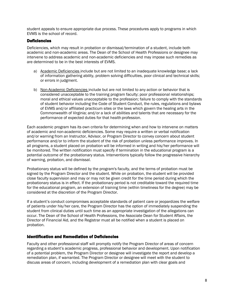student appeals to ensure appropriate due process. These procedures apply to programs in which EVMS is the school of record.

# <span id="page-10-0"></span>**Deficiencies**

Deficiencies, which may result in probation or dismissal/termination of a student, include both academic and non-academic areas. The Dean of the School of Health Professions or designee may intervene to address academic and non-academic deficiencies and may impose such remedies as are determined to be in the best interests of EVMS.

- a) Academic Deficiencies include but are not limited to an inadequate knowledge base; a lack of information gathering ability, problem solving difficulties, poor clinical and technical skills; or errors in judgment.
- b) Non-Academic Deficiencies include but are not limited to any action or behavior that is considered unacceptable to the training program faculty; poor professional relationships; moral and ethical values unacceptable to the profession; failure to comply with the standards of student behavior including the Code of Student Conduct, the rules, regulations and bylaws of EVMS and/or affiliated practicum sites or the laws which govern the healing arts in the Commonwealth of Virginia; and/or a lack of abilities and talents that are necessary for the performance of expected duties for that health profession.

Each academic program has its own criteria for determining when and how to intervene on matters of academic and non-academic deficiencies. Some may require a written or verbal notification and/or warning from an Instructor, Advisor, or Program Director to convey concern about student performance and/or to inform the student of the risk of probation unless performance improves. In all programs, a student placed on probation will be informed in writing and his/her performance will be monitored. The written notification must specify if termination in the educational program is a potential outcome of the probationary status. Interventions typically follow the progressive hierarchy of warning, probation, and dismissal.

Probationary status will be defined by the program's faculty, and the terms of probation must be signed by the Program Director and the student. While on probation, the student will be provided close faculty supervision and may or may not be given credit for the time period during which the probationary status is in effect. If the probationary period is not creditable toward the required time for the educational program, an extension of training time (within timeliness for the degree) may be considered at the discretion of the Program Director.

If a student's conduct compromises acceptable standards of patient care or jeopardizes the welfare of patients under his/her care, the Program Director has the option of immediately suspending the student from clinical duties until such time as an appropriate investigation of the allegations can occur. The Dean of the School of Health Professions, the Associate Dean for Student Affairs, the Director of Financial Aid, and the Registrar must all be notified when a student is placed on probation.

# <span id="page-10-1"></span>Identification and Remediation of Deficiencies

Faculty and other professional staff will promptly notify the Program Director of areas of concern regarding a student's academic progress, professional behavior and development. Upon notification of a potential problem, the Program Director or designee will investigate the report and develop a remediation plan, if warranted. The Program Director or designee will meet with the student to discuss areas of concern, including development of a remediation plan with clear goals and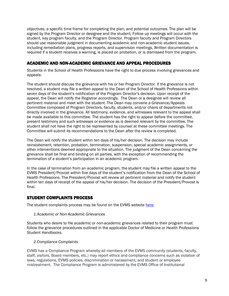objectives, a specific time frame for completing the plan, and potential outcomes. The plan will be signed by the Program Director or designee and the student. Follow up meetings will occur with the student, key program faculty, and the Program Director. Program faculty and Program Directors should use reasonable judgment in documenting academic and non-academic student issues, including remediation plans, progress reports, and supervision meetings. Written documentation is required if a student receives a warning, is placed on probation, or is dismissed from the program.

# <span id="page-11-0"></span>ACADEMIC AND NON-ACADEMIC GRIEVANCE AND APPEAL PROCEDURES

Students in the School of Health Professions have the right to due process involving grievances and appeals:

The student should discuss the grievance with his or her Program Director. If the grievance is not resolved, a student may file a written appeal to the Dean of the School of Health Professions within seven days of the student's notification of the Program Director's decision. Upon receipt of the appeal, the Dean will notify the Registrar accordingly. The Dean or a designee will review all pertinent material and meet with the student. The Dean may convene a Grievance/Appeals Committee composed of Program Directors, faculty, students, and/or chairs of departments not directly involved in the grievance. All testimony, evidence, and witnesses relevant to the appeal shall be made available to this committee. The student has the right to appear before the committee, present testimony and such witnesses or evidence as is deemed relevant by the committee. The student shall not have the right to be represented by counsel at these committee meetings. The Committee will submit its recommendations to the Dean after the review is completed.

The Dean will notify the student within ten days of his/her decision. The decision may include reinstatement, retention, probation, termination, suspension, special academic assignments, or other interventions deemed appropriate to the situation. The judgment of the Dean concerning the grievance shall be final and binding on all parties, with the exception of recommending the termination of a student's participation in an academic program.

In the case of termination from an academic program, the student may file a written appeal to the EVMS President/Provost within five days of the student's notification from the Dean of the School of Health Professions. The President/Provost will review all pertinent material and notify the student within ten days of receipt of the appeal of his/her decision. The decision of the President/Provost is final.

# <span id="page-11-1"></span>STUDENT COMPLAINTS PROCESS

The student complaints process may be found on the EVMS website [here.](https://www.evms.edu/about_evms/leadership/general_counsel/legal_and_compliance/legalcompliance_policies__information/complaints/)

#### *1.Academic or Non-Academic Grievances*

Students who desire to file academic or non-academic grievances related to their program must follow the grievance procedures outlined in the applicable Doctor of Medicine or Health Professions Student Handbooks.

#### *2.Compliance Complaints*

EVMS has a Compliance Program whereby all members of the EVMS community (students, faculty, staff, visitors, Board members, etc.) may report ethics and compliance concerns such as violation of laws, regulations, EVMS policies, discrimination or harassment, and student or employee mistreatment. The Compliance Program is administered by the EVMS Office of Institutional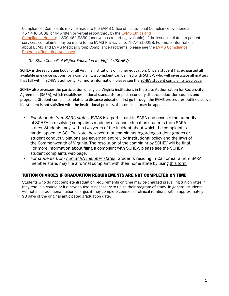Compliance. Complaints may be made to the EVMS Office of Institutional Compliance by phone at 757.446.6008, or by written or verbal report through the [EVMS Ethics and](https://app.convercent.com/en-us/LandingPage/683edfd1-4bee-e611-80d9-000d3ab1117e) [Compliance Hotline:](https://app.convercent.com/en-us/LandingPage/683edfd1-4bee-e611-80d9-000d3ab1117e) 1.800.461.9330 (anonymous reporting available). If the issue is related to patient services, complaints may be made to the EVMS Privacy Line, 757.451.6298. For more information about [EVMS](https://www.evms.edu/about_evms/leadership/general_counsel/legal_and_compliance/compliance_programs_reporting/) and EVMS Medical Group [Compliance](https://www.evms.edu/about_evms/leadership/general_counsel/legal_and_compliance/compliance_programs_reporting/) Programs, please see the **EVMS Compliance** [Programs/Reporting web page.](https://www.evms.edu/about_evms/leadership/general_counsel/legal_and_compliance/compliance_programs_reporting/)

*3. State Council of Higher Education for Virginia (SCHEV)*

SCHEV is the regulating body for all Virginia institutions of higher education. Once a student has exhausted all available grievance options for a complaint, a complaint can be filed with SCHEV, who will investigate all matters that fall within SCHEV's authority. For more information, please see th[e SCHEV student complaints web page.](http://www.schev.edu/index/students-and-parents/resources/student-complaints)

SCHEV also oversees the participation of eligible Virginia institutions in the State Authorization for Reciprocity Agreement (SARA), which establishes national standards for postsecondary distance education courses and programs. Student complaints related to distance education first go through the EVMS procedures outlined above. If a student is not satisfied with the institutional process, the complaint may be appealed:

- *For students from [SARA states](https://www.nc-sara.org/sara-states-institutions)*. EVMS is a participant in SARA and accepts the authority of SCHEV in resolving complaints made by distance education students from SARA states. Students may, within two years of the incident about which the complaint is made, appeal to SCHEV. Note, however, that complaints regarding student grades or student conduct violations are governed entirely by institutional policy and the laws of the Commonwealth of Virginia. The resolution of the complaint by SCHEV will be final. For more information about filing a complaint with SCHEV, please see the [SCHEV](http://www.schev.edu/index/students-and-parents/resources/student-complaints)  [student complaints web](http://www.schev.edu/index/students-and-parents/resources/student-complaints) page.
- *For students from [non-SARA member states](https://www.nc-sara.org/sara-states-institutions)*. Students residing in California, a non- SARA member state, may file a formal complaint with their home state by using [this form.](https://www.bppe.ca.gov/forms_pubs/complaint.pdf)

# <span id="page-12-0"></span>TUITION CHARGES IF GRADUATION REQUIREMENTS ARE NOT COMPLETED ON TIME

Students who do not complete graduation requirements on time may be charged prevailing tuition rates if they retake a course or if a new course is necessary to finish their program of study. In general, students will not incur additional tuition charges if they complete courses or clinical rotations within approximately 90 days of the original anticipated graduation date.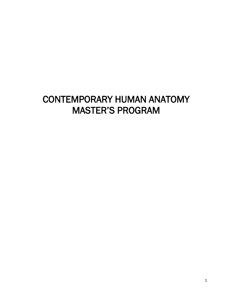# <span id="page-13-0"></span>CONTEMPORARY HUMAN ANATOMY MASTER'S PROGRAM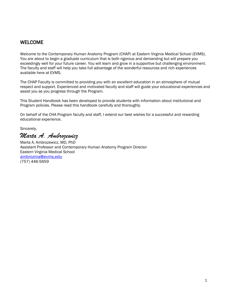# <span id="page-14-0"></span>WELCOME

Welcome to the Contemporary Human Anatomy Program (CHAP) at Eastern Virginia Medical School (EVMS). You are about to begin a graduate curriculum that is both rigorous and demanding but will prepare you exceedingly well for your future career. You will learn and grow in a supportive but challenging environment. The faculty and staff will help you take full advantage of the wonderful resources and rich experiences available here at EVMS.

The CHAP Faculty is committed to providing you with an excellent education in an atmosphere of mutual respect and support. Experienced and motivated faculty and staff will guide your educational experiences and assist you as you progress through the Program.

This Student Handbook has been developed to provide students with information about institutional and Program policies. Please read this handbook carefully and thoroughly.

On behalf of the CHA Program faculty and staff, I extend our best wishes for a successful and rewarding educational experience.

Sincerely,

*Marta A. Ambrozewicz* 

Marta A. Ambrozewicz, MD, PhD Assistant Professor and Contemporary Human Anatomy Program Director Eastern Virginia Medical School [ambrozma@evms.edu](mailto:ambrozma@evms.edu)  (757) 446-5659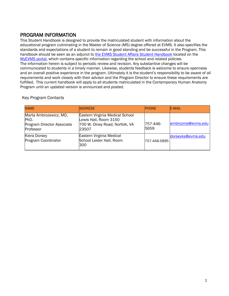<span id="page-15-0"></span>**PROGRAM INFORMATION**<br>This Student Handbook is designed to provide the matriculated student with information about the educational program culminating in the Master of Science (MS) degree offered at EVMS. It also specifies the standards and expectations of a student to remain in good standing and be successful in the Program. This handbook should be seen as an adjunct to [the EVMS Student Affairs Student Handbook](https://www.evms.edu/education/resources/student_policies_handbooks/) located on the [MyEVMS portal,](https://myportal.evms.edu/login/?redir=/) which contains specific information regarding the school and related policies. The information herein is subject to periodic review and revision. Any substantive changes will be communicated to students in a timely manner. Likewise, students feedback is welcome to ensure openness and an overall positive experience in the program. Ultimately it is the student's responsibility to be aware of all requirements and work closely with their advisor and the Program Director to ensure these requirements are fulfilled. This current handbook will apply to all students matriculated in the Contemporary Human Anatomy Program until an updated version is announced and posted.

| <b>NAME</b>                                                               | <b>ADDRESS</b>                                                                                      | <b>PHONE</b>     | <b>IE-MAIL</b>    |
|---------------------------------------------------------------------------|-----------------------------------------------------------------------------------------------------|------------------|-------------------|
| Marta Ambrozewicz, MD,<br>PhD.<br>Program Director Associate<br>Professor | Eastern Virginia Medical School<br>Lewis Hall, Room 3150<br>700 W. Olney Road, Norfolk, VA<br>23507 | 757-446-<br>5659 | ambrozma@evms.edu |
| Kiera Dorsey<br>Program Coordinator                                       | Eastern Virginia Medical<br>School Lester Hall, Room<br>300                                         | 757-446-5895     | dorseyks@evms.edu |

#### <span id="page-15-1"></span>Key Program Contacts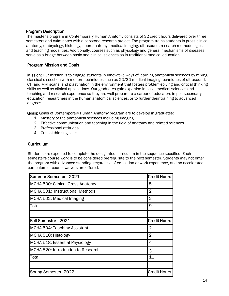# <span id="page-16-0"></span>Program Description

The master's program in Contemporary Human Anatomy consists of 32 credit hours delivered over three semesters and culminates with a capstone research project. The program trains students in gross clinical anatomy, embryology, histology, neuroanatomy, medical imaging, ultrasound, research methodologies, and teaching modalities. Additionally, courses such as physiology and general mechanisms of diseases serve as a bridge between basic and clinical sciences as in traditional medical education.

# <span id="page-16-1"></span>Program Mission and Goals

Mission: Our mission is to engage students in innovative ways of learning anatomical sciences by mixing classical dissection with modern techniques such as 2D/3D medical imaging techniques of ultrasound, CT, and MRI scans, and plastination in the environment that fosters problem-solving and critical thinking skills as well as clinical applications. Our graduates gain expertise in basic medical sciences and teaching and research experience so they are well prepare to a career of educators in postsecondary education, researchers in the human anatomical sciences, or to further their training to advanced degrees.

Goals: Goals of Contemporary Human Anatomy program are to develop in graduates:

- 1. Mastery of the anatomical sciences including imaging
- 2. Effective communication and teaching in the field of anatomy and related sciences
- 3. Professional attitudes
- 4. Critical thinking skills

# <span id="page-16-2"></span>Curriculum

Students are expected to complete the designated curriculum in the sequence specified. Each semester's course work is to be considered prerequisite to the next semester. Students may not enter the program with advanced standing, regardless of education or work experience, and no accelerated curriculum or course waivers are offered.

| Summer Semester - 2021              | <b>Credit Hours</b> |
|-------------------------------------|---------------------|
| MCHA 500: Clinical Gross Anatomy    | 5                   |
| MCHA 501: Instructional Methods     | 2                   |
| MCHA 502: Medical Imaging           | 2                   |
| Total                               | 9                   |
|                                     |                     |
| Fall Semester - 2021                | <b>Credit Hours</b> |
| <b>MCHA 504: Teaching Assistant</b> | 2                   |
| MCHA 510: Histology                 | $\overline{2}$      |
| MCHA 518: Essential Physiology      | 4                   |
| MCHA 520: Introduction to Research  | 3                   |
| Total                               | 11                  |
|                                     |                     |
| <b>Spring Semester - 2022</b>       | <b>Credit Hours</b> |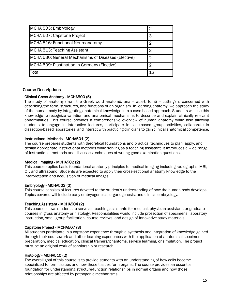| MCHA 503: Embryology                                | 2  |
|-----------------------------------------------------|----|
| MCHA 507: Capstone Project                          | 3  |
| MCHA 516: Functional Neuroanatomy                   | 2  |
| MCHA 513: Teaching Assistant II                     | IЗ |
| MCHA 530: General Mechanisms of Diseases (Elective) | 2  |
| MCHA 509: Plastination in Germany (Elective)        | 2  |
| Total                                               | 12 |

# <span id="page-17-0"></span>Course Descriptions

# Clinical Gross Anatomy - MCHA500 (5)

The study of anatomy (from the Greek word anatome, ana  $=$  apart, tome  $=$  cutting) is concerned with describing the form, structures, and functions of an organism. In learning anatomy, we approach the study of the human body by integrating anatomical knowledge into a case-based approach. Students will use this knowledge to recognize variation and anatomical mechanisms to describe and explain clinically relevant abnormalities. This course provides a comprehensive overview of human anatomy while also allowing students to engage in interactive lectures, participate in case-based group activities, collaborate in dissection-based laboratories, and interact with practicing clinicians to gain clinical anatomical competence.

#### Instructional Methods - MCHA501 (2)

The course prepares students with theoretical foundations and practical techniques to plan, apply, and design appropriate instructional methods while serving as a teaching assistant. It introduces a wide range of instructional methods and discusses techniques of writing good examination questions.

#### Medical Imaging - MCHA502 (2)

This course applies basic foundational anatomy principles to medical imaging including radiographs, MRI, CT, and ultrasound. Students are expected to apply their cross-sectional anatomy knowledge to the interpretation and acquisition of medical images.

#### Embryology - MCHA503 (2)

This course consists of lectures devoted to the student's understanding of how the human body develops. Topics covered will include early embryogenesis, organogenesis, and clinical embryology.

#### Teaching Assistant - MCHA504 (2)

This course allows students to serve as teaching assistants for medical, physician assistant, or graduate courses in gross anatomy or histology. Responsibilities would include prosection of specimens, laboratory instruction, small group facilitation, course reviews, and design of innovative study materials.

#### Capstone Project - MCHA507 (3)

All students participate in a capstone experience through a synthesis and integration of knowledge gained through their coursework and other learning experiences with the application of anatomical specimen preparation, medical education, clinical trainers/phantoms, service learning, or simulation. The project must be an original work of scholarship or research.

#### Histology - MCHA510 (2)

The overall goal of this course is to provide students with an understanding of how cells become specialized to form tissues and how those tissues form organs. The course provides an essential foundation for understanding structure-function relationships in normal organs and how those relationships are affected by pathogenic mechanisms.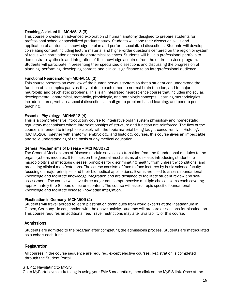# Teaching Assistant II –MCHA513 (3)

This course provides an advanced exploration of human anatomy designed to prepare students for professional school or specialized graduate study. Students will hone their dissection skills and application of anatomical knowledge to plan and perform specialized dissections. Students will develop correlating content including lecture material and higher-order questions centered on the region or system of focus with correlation across the anatomical sciences. Students will build a professional portfolio to demonstrate synthesis and integration of the knowledge acquired from the entire master's program. Students will participate in presenting their specialized dissections and discussing the progression of planning, performing, developing content, and clinical significance to an interprofessional audience.

# Functional Neuroanatomy - MCHA516 (2)

This course presents an overview of the human nervous system so that a student can understand the function of its complex parts as they relate to each other, to normal brain function, and to major neurologic and psychiatric problems. This is an integrated neuroscience course that includes molecular, developmental, anatomical, metabolic, physiologic, and pathologic concepts. Learning methodologies include lectures, wet labs, special dissections, small group problem-based learning, and peer-to-peer teaching.

# Essential Physiology - MCHA518 (4)

This is a comprehensive introductory course to integrative organ system physiology and homeostatic regulatory mechanisms where interrelationships of structure and function are reinforced. The flow of the course is intended to interphase closely with the topic material being taught concurrently in Histology (MCHA510). Together with anatomy, embryology, and histology courses, this course gives an impeccable and solid understanding of the basis of any medical education.

#### General Mechanisms of Disease – MCHA530 (2)

The General Mechanisms of Disease module serves as a transition from the foundational modules to the organ systems modules. It focuses on the general mechanisms of disease, introducing students to microbiology and infectious disease, principles for discriminating healthy from unhealthy conditions, and predicting clinical manifestations. The course consists of face-to-face lectures by basic science faculty focusing on major principles and their biomedical applications. Exams are used to assess foundational knowledge and facilitate knowledge integration and are designed to facilitate student review and selfassessment. The course will have three major non-comprehensive multiple-choice exams each covering approximately 6 to 8 hours of lecture content. The course will assess topic-specific foundational knowledge and facilitate disease knowledge integration.

# Plastination in Germany- MCHA509 (2)

Students will travel abroad to learn plastination techniques from world experts at the Plastinarium in Guben, Germany. In conjunction with the above activity, students will prepare dissections for plastination. This course requires an additional fee. Travel restrictions may alter availability of this course.

# <span id="page-18-0"></span>Admissions

Students are admitted to the program after completing the admissions process. Students are matriculated as a cohort each June.

# <span id="page-18-1"></span>**Registration**

All courses in the course sequence are required, except elective courses. Registration is completed through the Student Portal.

#### STEP 1: Navigating to MySIS

Go to MyPortal.evms.edu to log in using your EVMS credentials, then click on the MySIS link. Once at the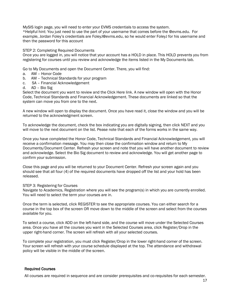MySIS login page, you will need to enter your EVMS credentials to access the system. \*Helpful hint: You just need to use the part of your username that comes before the @evms.edu. For example, Jordan Foley's credentials are FoleyJ@evms.edu, so he would enter FoleyJ for his username and then the password for this account

#### STEP 2: Completing Required Documents

Once you are logged in, you will notice that your account has a HOLD in place. This HOLD prevents you from registering for courses until you review and acknowledge the items listed in the My Documents tab.

Go to My Documents and open the Document Center. There, you will find:

- a. AM Honor Code
- b. AM Technical Standards for your program
- c. SA Financial Acknowledgement
- d. AD Bio Sig

Select the document you want to review and the Click Here link. A new window will open with the Honor Code, Technical Standards and Financial Acknowledgement. These documents are linked so that the system can move you from one to the next.

A new window will open to display the document. Once you have read it, close the window and you will be returned to the acknowledgment screen.

To acknowledge the document, check the box indicating you are digitally signing, then click NEXT and you will move to the next document on the list. Pease note that each of the forms works in the same way.

Once you have completed the Honor Code, Technical Standards and Financial Acknowledgement, you will receive a confirmation message. You may then close the confirmation window and return to My Documents/Document Center. Refresh your screen and note that you will have another document to review and acknowledge. Select the Bio Sig document to review and acknowledge. You will get another page to confirm your submission.

Close this page and you will be returned to your Document Center. Refresh your screen again and you should see that all four (4) of the required documents have dropped off the list and your hold has been released.

#### STEP 3: Registering for Courses

Navigate to Academics, Registration where you will see the program(s) in which you are currently enrolled. You will need to select the term your courses are in.

Once the term is selected, click REGISTER to see the appropriate courses. You can either search for a course in the top box of the screen OR move down to the middle of the screen and select from the courses available for you.

To select a course, click ADD on the left-hand side, and the course will move under the Selected Courses area. Once you have all the courses you want in the Selected Courses area, click Register/Drop in the upper right-hand corner. The screen will refresh with all your selected courses.

To complete your registration, you must click Register/Drop in the lower right-hand corner of the screen. Your screen will refresh with your course schedule displayed at the top. The attendance and withdrawal policy will be visible in the middle of the screen.

#### Required Courses

All courses are required in sequence and are consider prerequisites and co-requisites for each semester.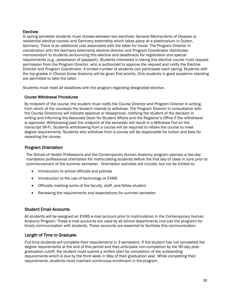# **Electives**

In spring semester students must choose between two electives: General Mechanisms of Disease (a residential elective course) and Germany externship which takes place at a plastinarium in Guben, Germany. There is an additional cost associated with the latter for travel. The Program Director in coordination with the Germany externship elective director and Program Coordinator distributes memorandum to students announcing this elective and deadline(s) for registration and special requirements (e.g., possession of passport). Students interested in taking this elective course must request permission from the Program Director, who is authorized to approve the request and notify the Elective Director and Program Coordinator. A limited number of students can participate each spring. Students with the top grades in Clinical Gross Anatomy will be given first priority. Only students in good academic standing are permitted to take the latter.

Students must meet all deadlines with the program regarding designated elective.

# Course Withdrawal Procedures

By midpoint of the course, the student must notify the Course Director and Program Director in writing, from which of the course(s) the student intends to withdraw. The Program Director in consultation with the Course Director(s) will indicate approval or disapproval, notifying the student of the decision in writing and informing the Associate Dean for Student Affairs and the Registrar's Office if the withdrawal is approved. Withdrawing past the midpoint of the semester will result in a Withdraw Fail on the transcript (W-F). Students withdrawing from a course will be required to retake the course to meet degree requirements. Students who withdraw from a course will be responsible for tuition and fees for repeating the course.

# <span id="page-20-0"></span>Program Orientation

The School of Health Professions and the Contemporary Human Anatomy program sponsor a two-day mandatory professional orientation for matriculating students before the first day of class in June prior to commencement of the summer semester. Orientation activities will include, but not be limited to:

- Introduction to school officials and policies
- Introduction to the use of technology at EVMS
- Officially meeting some of the faculty, staff, and fellow student
- Reviewing the requirements and expectations for summer semester

# <span id="page-20-1"></span>Student Email Accounts

All students will be assigned an EVMS e-mail account prior to matriculation in the Contemporary Human Anatomy Program. These e-mail accounts are used by all school departments (not just the program) for timely communication with students. These accounts are essential to facilitate this communication.

# <span id="page-20-2"></span>Length of Time to Graduate

Full-time students will complete their requirements in 3 semesters. If the student has not completed the degree requirements at the end of this period and they anticipate non-completion by the 90-day postgraduation cutoff, the student must submit a written plan for completion of the outstanding requirements which is due by the third week in May of their graduation year. While completing their requirements, students must maintain continuous enrollment in the program.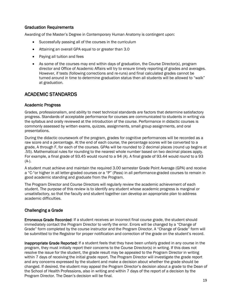# <span id="page-21-0"></span>Graduation Requirements

Awarding of the Master's Degree in Contemporary Human Anatomy is contingent upon:

- Successfully passing all of the courses in the curriculum
- Attaining an overall GPA equal to or greater than 3.0
- Paying all tuition and fees
- As some of the courses may end within days of graduation, the Course Director(s), program director and Office of Academic Affairs will try to ensure timely reporting of grades and averages. However, if tests (following corrections and re-runs) and final calculated grades cannot be turned around in time to determine graduation status then all students will be allowed to "walk" at graduation.

# <span id="page-21-1"></span>ACADEMIC STANDARDS

# <span id="page-21-2"></span>Academic Progress

Grades, professionalism, and ability to meet technical standards are factors that determine satisfactory progress. Standards of acceptable performance for courses are communicated to students in writing via the syllabus and orally reviewed at the introduction of the course. Performance in didactic courses is commonly assessed by written exams, quizzes, assignments, small group assignments, and oral presentations.

During the didactic coursework of the program, grades for cognitive performances will be recorded as a raw score and a percentage. At the end of each course, the percentage scores will be converted to a grade, A through F, for each of the courses. GPAs will be rounded to 2 decimal places (round up begins at .55). Mathematical rules for rounding to the nearest whole number based on two decimal places apply. For example, a final grade of 93.45 would round to a 94 (A). A final grade of 93.44 would round to a 93  $(A-)$ .

A student must achieve and maintain the required 3.00 semester Grade Point Average (GPA) and receive a "C-"or higher in all letter-graded courses or a "P" (Pass) in all performance-graded courses to remain in good academic standing and graduate from the Program.

The Program Director and Course Directors will regularly review the academic achievement of each student. The purpose of this review is to identify any student whose academic progress is marginal or unsatisfactory, so that the faculty and student together can develop an appropriate plan to address academic difficulties.

# <span id="page-21-3"></span>Challenging a Grade

Erroneous Grade Recorded: If a student receives an incorrect final course grade, the student should immediately contact the Program Director to verify the error. Errors will be changed by a "Change of Grade" form completed by the course instructor and the Program Director. A "Change of Grade" form will be submitted to the Registrar for proper notification and correction of the grade on the student's record.

Inappropriate Grade Reported: If a student feels that they have been unfairly graded in any course in the program, they must initially report their concerns to the Course Director(s) in writing. If this does not resolve the issue for the student, the grade result may be appealed to the Program Director in writing within 7 days of receiving the initial grade report. The Program Director will investigate the grade report and any concerns expressed by the student and make a decision about whether the grade should be changed. If desired, the student may appeal the Program Director's decision about a grade to the Dean of the School of Health Professions, also in writing and within 7 days of the report of a decision by the Program Director. The Dean's decision will be final.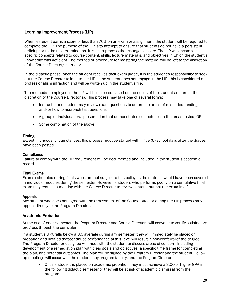# <span id="page-22-0"></span>Learning Improvement Process (LIP)

When a student earns a score of less than 70% on an exam or assignment, the student will be required to complete the LIP. The purpose of the LIP is to attempt to ensure that students do not have a persistent deficit prior to the next examination. It is not a process that changes a score. The LIP will encompass specific concepts related to course content, skills, lecture materials, and objectives in which the student's knowledge was deficient. The method or procedure for mastering the material will be left to the discretion of the Course Director/Instructor.

In the didactic phase, once the student receives their exam grade, it is the student's responsibility to seek out the Course Director to initiate the LIP. If the student does not engage in the LIP, this is considered a professionalism infraction and will be written up in the student's file.

The method(s) employed in the LIP will be selected based on the needs of the student and are at the discretion of the Course Director(s). This process may take one of several forms:

- Instructor and student may review exam questions to determine areas of misunderstanding and/or how to approach test questions,
- A group or individual oral presentation that demonstrates competence in the areas tested, OR
- Some combination of the above

# **Timing**

Except in unusual circumstances, this process must be started within five (5) school days after the grades have been posted.

#### **Compliance**

Failure to comply with the LIP requirement will be documented and included in the student's academic record.

# Final Exams

Exams scheduled during finals week are not subject to this policy as the material would have been covered in individual modules during the semester. However, a student who performs poorly on a cumulative final exam may request a meeting with the Course Director to review content, but not the exam itself.

#### Appeals

Any student who does not agree with the assessment of the Course Director during the LIP process may appeal directly to the Program Director.

# <span id="page-22-1"></span>Academic Probation

At the end of each semester, the Program Director and Course Directors will convene to certify satisfactory progress through the curriculum.

If a student's GPA falls below a 3.0 average during any semester, they will immediately be placed on probation and notified that continued performance at this level will result in non-conferral of the degree. The Program Director or designee will meet with the student to discuss areas of concern, including development of a remediation plan with clear goals and objectives, a specific time frame for completing the plan, and potential outcomes. The plan will be signed by the Program Director and the student. Follow up meetings will occur with the student, key program faculty, and the ProgramDirector.

• Once a student is placed on academic probation, they must achieve a 3.00 or higher GPA in the following didactic semester or they will be at risk of academic dismissal from the program.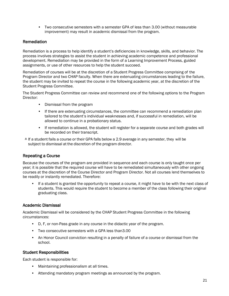• Two consecutive semesters with a semester GPA of less than 3.00 (without measurable improvement) may result in academic dismissal from the program.

# <span id="page-23-0"></span>Remediation

Remediation is a process to help identify a student's deficiencies in knowledge, skills, and behavior. The process involves strategies to assist the student in achieving academic competence and professional development. Remediation may be provided in the form of a Learning Improvement Process, guided assignments, or use of other resources to help the student succeed.

Remediation of courses will be at the discretion of a Student Progress Committee comprising of the Program Director and two CHAP faculty. When there are extenuating circumstances leading to the failure, the student may be invited to repeat the course in the following academic year, at the discretion of the Student Progress Committee.

The Student Progress Committee can review and recommend one of the following options to the Program Director:

- Dismissal from the program
- If there are extenuating circumstances, the committee can recommend a remediation plan tailored to the student's individual weaknesses and, if successful in remediation, will be allowed to continue in a probationary status.
- If remediation is allowed, the student will register for a separate course and both grades will be recorded on their transcript.
- $*$  If a student fails a course or their GPA falls below a 2.9 average in any semester, they will be subject to dismissal at the discretion of the program director.

# <span id="page-23-1"></span>Repeating a Course

Because the courses of the program are provided in sequence and each course is only taught once per year; it is possible that the required course will have to be remediated simultaneously with other ongoing courses at the discretion of the Course Director and Program Director. Not all courses lend themselves to be readily or instantly remediated. Therefore:

• If a student is granted the opportunity to repeat a course, it might have to be with the next class of students. This would require the student to become a member of the class following their original graduating class.

# <span id="page-23-2"></span>Academic Dismissal

Academic Dismissal will be considered by the CHAP Student Progress Committee in the following circumstances:

- D, F, or non-Pass grade in any course in the didactic year of the program.
- Two consecutive semesters with a GPA less than3.00
- An Honor Council conviction resulting in a penalty of failure of a course or dismissal from the school.

# <span id="page-23-3"></span>Student Responsibilities

Each student is responsible for:

- Maintaining professionalism at all times.
- Attending mandatory program meetings as announced by the program.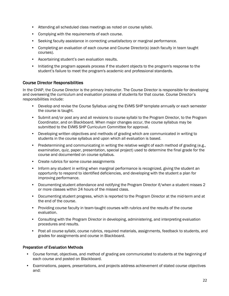- Attending all scheduled class meetings as noted on course syllabi.
- Complying with the requirements of each course.
- Seeking faculty assistance in correcting unsatisfactory or marginal performance.
- Completing an evaluation of each course and Course Director(s) (each faculty in team taught courses).
- Ascertaining student's own evaluation results.
- Initiating the program appeals process if the student objects to the program's response to the student's failure to meet the program's academic and professional standards.

# <span id="page-24-0"></span>Course Director Responsibilities

In the CHAP, the Course Director is the primary Instructor. The Course Director is responsible for developing and overseeing the curriculum and evaluation process of students for that course. Course Director's responsibilities include:

- Develop and revise the Course Syllabus using the EVMS SHP template annually or each semester the course is taught.
- Submit and/or post any and all revisions to course syllabi to the Program Director, to the Program Coordinator, and on Blackboard. When major changes occur, the course syllabus may be submitted to the EVMS SHP Curriculum Committee for approval.
- Developing written objectives and methods of grading which are communicated in writing to students in the course syllabus and upon which all evaluation is based.
- Predetermining and communicating in writing the relative weight of each method of grading (e.g., examination, quiz, paper, presentation, special project) used to determine the final grade for the course and documented on course syllabus.
- Create rubrics for some course assignments
- Inform any student in writing when marginal performance is recognized, giving the student an opportunity to respond to identified deficiencies, and developing with the student a plan for improving performance.
- Documenting student attendance and notifying the Program Director if/when a student misses 2 or more classes within 24 hours of the missed class.
- Documenting student progress, which is reported to the Program Director at the mid-term and at the end of the course.
- Providing course faculty in team-taught courses with rubrics and the results of the course evaluation.
- Consulting with the Program Director in developing, administering, and interpreting evaluation procedures and results.
- Post all course syllabi, course rubrics, required materials, assignments, feedback to students, and grades for assignments and course in Blackboard.

# Preparation of Evaluation Methods

- Course format, objectives, and method of grading are communicated to students at the beginning of each course and posted on Blackboard.
- Examinations, papers, presentations, and projects address achievement of stated course objectives and: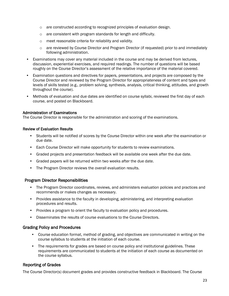- $\circ$  are constructed according to recognized principles of evaluation design.
- o are consistent with program standards for length and difficulty.
- o meet reasonable criteria for reliability and validity.
- o are reviewed by Course Director and Program Director (if requested) prior to and immediately following administration.
- Examinations may cover any material included in the course and may be derived from lectures, discussion, experiential exercises, and required readings. The number of questions will be based roughly on the Course Director's assessment of the relative importance of the material covered.
- Examination questions and directives for papers, presentations, and projects are composed by the Course Director and reviewed by the Program Director for appropriateness of content and types and levels of skills tested (e.g., problem solving, synthesis, analysis, critical thinking, attitudes, and growth throughout the course).
- Methods of evaluation and due dates are identified on course syllabi, reviewed the first day of each course, and posted on Blackboard.

#### Administration of Examinations

The Course Director is responsible for the administration and scoring of the examinations.

#### Review of Evaluation Results

- Students will be notified of scores by the Course Director within one week after the examination or due date.
- Each Course Director will make opportunity for students to review examinations.
- Graded projects and presentation feedback will be available one week after the due date.
- Graded papers will be returned within two weeks after the due date.
- The Program Director reviews the overall evaluation results.

#### <span id="page-25-0"></span>Program Director Responsibilities

- The Program Director coordinates, reviews, and administers evaluation policies and practices and recommends or makes changes as necessary.
- Provides assistance to the faculty in developing, administering, and interpreting evaluation procedures and results.
- Provides a program to orient the faculty to evaluation policy and procedures.
- Disseminates the results of course evaluations to the Course Directors.

#### <span id="page-25-1"></span>Grading Policy and Procedures

- Course education format, method of grading, and objectives are communicated in writing on the course syllabus to students at the initiation of each course.
- The requirements for grades are based on course policy and institutional guidelines. These requirements are communicated to students at the initiation of each course as documented on the course syllabus.

#### <span id="page-25-2"></span>Reporting of Grades

The Course Director(s) document grades and provides constructive feedback in Blackboard. The Course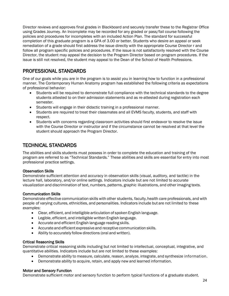Director reviews and approves final grades in Blackboard and securely transfer these to the Registrar Office using Grades Journey. An Incomplete may be recorded for any graded or pass/fail course following the policies and procedures for incompletes with an included Action Plan. The standard for successful completion of this graduate program is a GPA of 3.00 or better. Students who desire an appeal or seek remediation of a grade should first address the issue directly with the appropriate Course Director r and follow all program specific policies and procedures. If the issue is not satisfactorily resolved with the Course Director, the student may appeal the decision to the Program Director based on program procedures. If the issue is still not resolved, the student may appeal to the Dean of the School of Health Professions.

# <span id="page-26-0"></span>PROFESSIONAL STANDARDS

One of our goals while you are in the program is to assist you in learning how to function in a professional manner. The Contemporary Human Anatomy program has established the following criteria as expectations of professional behavior:

- Students will be required to demonstrate full compliance with the technical standards to the degree students attested to on their admission statements and as re-attested during registration each semester.
- Students will engage in their didactic training in a professional manner.
- Students are required to treat their classmates and all EVMS faculty, students, and staff with respect.
- Students with concerns regarding classroom activities should first endeavor to resolve the issue with the Course Director or instructor and if the circumstance cannot be resolved at that level the student should approach the Program Director.

# <span id="page-26-1"></span>TECHNICAL STANDARDS

The abilities and skills students must possess in order to complete the education and training of the program are referred to as "Technical Standards." These abilities and skills are essential for entry into most professional practice settings.

# Observation Skills

Demonstrate sufficient attention and accuracy in observation skills (visual, auditory, and tactile) in the lecture hall, laboratory, and/or online settings. Indicators include but are not limited to accurate visualization and discrimination of text, numbers, patterns, graphic illustrations, and other imaging texts.

#### Communication Skills

Demonstrate effective communication skills with other students, faculty, health care professionals, and with people of varying cultures, ethnicities, and personalities. Indicators include but are not limited to these examples:

- Clear, efficient, and intelligible articulation of spoken English language.
- Legible, efficient, and intelligible written English language.
- Accurate and efficient English language reading skills.
- Accurate and efficient expressive and receptive communication skills.
- Ability to accurately follow directions (oral and written).

#### Critical Reasoning Skills

Demonstrate critical reasoning skills including but not limited to intellectual, conceptual, integrative, and quantitative abilities. Indicators include but are not limited to these examples:

- Demonstrate ability to measure, calculate, reason, analyze, integrate, and synthesize information.
- Demonstrate ability to acquire, retain, and apply new and learned information.

#### Motor and Sensory Function

Demonstrate sufficient motor and sensory function to perform typical functions of a graduate student.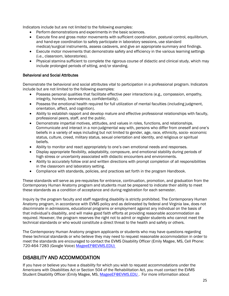Indicators include but are not limited to the following examples:

- Perform demonstrations and experiments in the basic sciences.
- Execute fine and gross motor movements with sufficient coordination, postural control, equilibrium, and hand-eye coordination to safely participate in laboratory sessions, use standard medical/surgical instruments, assess cadavers, and give an appropriate summary and findings.
- Execute motor movements that demonstrate safety and efficiency in the various learning settings (i.e., classroom, laboratories).
- Physical stamina sufficient to complete the rigorous course of didactic and clinical study, which may include prolonged periods of sitting, and/or standing.

# Behavioral and Social Attributes

Demonstrate the behavioral and social attributes vital to participation in a professional program. Indicators include but are not limited to the following examples:

- Possess personal qualities that facilitate effective peer interactions (e.g., compassion, empathy, integrity, honesty, benevolence, confidentiality).
- Possess the emotional health required for full utilization of mental faculties (including judgment, orientation, affect, and cognition).
- Ability to establish rapport and develop mature and effective professional relationships with faculty, professional peers, staff, and the public.
- Demonstrate impartial motives, attitudes, and values in roles, functions, and relationships. Communicate and interact in a non-judgmental way with, persons who differ from oneself and one's beliefs in a variety of ways including but not limited to gender, age, race, ethnicity, socio- economic status, culture, creed, military status, sexual orientation and identity, and religious or spiritual beliefs.
- Ability to monitor and react appropriately to one's own emotional needs and responses.
- Display appropriate flexibility, adaptability, composure, and emotional stability during periods of high stress or uncertainty associated with didactic encounters and environments.
- Ability to accurately follow oral and written directions with prompt completion of all responsibilities in the classroom and laboratory setting.
- Compliance with standards, policies, and practices set forth in the program Handbook.

These standards will serve as pre-requisites for entrance, continuation, promotion, and graduation from the Contemporary Human Anatomy program and students must be prepared to indicate their ability to meet these standards as a condition of acceptance and during registration for each semester.

Inquiry by the program faculty and staff regarding disability is strictly prohibited. The Contemporary Human Anatomy program, in accordance with EVMS policy and as delineated by federal and Virginia law, does not discriminate in admissions, educational programs or employment against any individual on the basis of that individual's disability, and will make good faith efforts at providing reasonable accommodation as required. However, the program reserves the right not to admit or register students who cannot meet the technical standards or who would constitute a direct threat to the health and safety or others.

The Contemporary Human Anatomy program applicants or students who may have questions regarding these technical standards or who believe they may need to request reasonable accommodation in order to meet the standards are encouraged to contact the EVMS Disability Officer (Emily Magee, MS, Cell Phone: 720-464-7283 (Google Voice) MageeEF@EVMS.EDU)

# <span id="page-27-0"></span>DISABILITY AND ACCOMMODATION

If you have or believe you have a disability for which you wish to request accommodations under the Americans with Disabilities Act or Section 504 of the Rehabilitation Act, you must contact the EVMS Student Disability Officer (Emily Magee, MS, MageeEF@EVMS.EDU. For more information about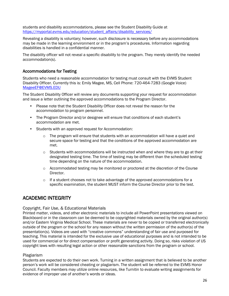students and disability accommodations, please see the Student Disability Guide at [https://myportal.evms.edu/education/student\\_affairs/disability\\_services/](https://myportal.evms.edu/education/student_affairs/disability_services/)

Revealing a disability is voluntary; however, such disclosure is necessary before any accommodations may be made in the learning environment or in the program's procedures. Information regarding disabilities is handled in a confidential manner.

The disability officer will not reveal a specific disability to the program. They merely identify the needed accommodation(s).

# <span id="page-28-0"></span>Accommodations for Testing

Students who need a reasonable accommodation for testing must consult with the EVMS Student Disability Officer. Currently this is: Emily Magee, MS, Cell Phone: 720-464-7283 (Google Voice) MageeEF@EVMS.EDU

The Student Disability Officer will review any documents supporting your request for accommodation and issue a letter outlining the approved accommodations to the Program Director.

- Please note that the Student Disability Officer does not reveal the reason for the accommodation to program personnel.
- The Program Director and/or designee will ensure that conditions of each student's accommodation are met.
- Students with an approved request for Accommodation:
	- $\circ$  The program will ensure that students with an accommodation will have a quiet and secure space for testing and that the conditions of the approved accommodation are met.
	- $\circ$  Students with accommodations will be instructed when and where they are to go at their designated testing time. The time of testing may be different than the scheduled testing time depending on the nature of the accommodation.
	- $\circ$  Accommodated testing may be monitored or proctored at the discretion of the Course Director.
	- $\circ$  If a student chooses not to take advantage of the approved accommodations for a specific examination, the student MUST inform the Course Director prior to the test.

# <span id="page-28-1"></span>ACADEMIC INTEGRITY

# <span id="page-28-2"></span>Copyright, Fair Use, & Educational Materials

Printed matter, videos, and other electronic materials to include all PowerPoint presentations viewed on Blackboard or in the classroom can be deemed to be copyrighted materials owned by the original author(s) and/or Eastern Virginia Medical School. These materials are never to be copied or transferred electronically outside of the program or the school for any reason without the written permission of the author(s) of the presentation(s). Videos are used with "creative commons" understanding of fair use and purposed for teaching. This material is intended for the exclusive use of educational purposes and is not intended to be used for commercial or for direct compensation or profit generating activity. Doing so, risks violation of US copyright laws with resulting legal action or other reasonable sanctions from the program or school.

# <span id="page-28-3"></span>Plagiarism

Students are expected to do their own work. Turning in a written assignment that is believed to be another person's work will be considered cheating or plagiarism. The student will be referred to the EVMS Honor Council. Faculty members may utilize online resources, like Turnitin to evaluate writing assignments for evidence of improper use of another's words or ideas.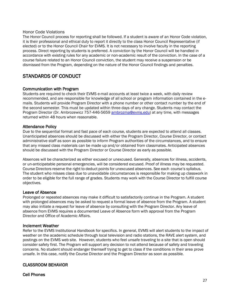#### <span id="page-29-0"></span>Honor Code Violations

The Honor Council process for reporting shall be followed. If a student is aware of an Honor Code violation, it is their professional and ethical duty to report it directly to the class Honor Council Representative (if elected) or to the Honor Council Chair for EVMS. It is not necessary to involve faculty in the reporting process. Direct reporting by students is preferred. A conviction by the Honor Council will be handled in accordance with existing rules for any academic or non-academic result of the conviction. In the case of a course failure related to an Honor Council conviction, the student may receive a suspension or be dismissed from the Program, depending on the nature of the Honor Council findings and penalties.

# <span id="page-29-1"></span>STANDARDS OF CONDUCT

# <span id="page-29-2"></span>Communication with Program

Students are required to check their EVMS e-mail accounts at least twice a week, with daily review recommended, and are responsible for knowledge of all school or program information contained in the emails. Students will provide Program Director with a phone number or other contact number by the end of the second semester. This must be updated within three days of any change. Students may contact the Program Director (Dr. Ambrozewicz 757-446-5659 ambrozma@evms.edu) at any time, with messages returned within 48 hours when reasonable.

# <span id="page-29-3"></span>Attendance Policy

Due to the sequential format and fast pace of each course, students are expected to attend all classes. Unanticipated absences should be discussed with either the Program Director, Course Director, or contact administrative staff as soon as possible to inform Program authorities of the circumstances, and to ensure that any missed class materials can be made up and/or obtained from classmates. Anticipated absences should be discussed with the Program Director or Course Director as early as possible.

Absences will be characterized as either excused or unexcused. Generally, absences for illness, accidents, or un-anticipatable personal emergencies, will be considered excused. Proof of illness may be requested. Course Directors reserve the right to deduct points for unexcused absences. See each course's syllabus. The student who misses class due to unavoidable circumstances is responsible for making up classwork in order to be eligible for the full range of grades. Students may work with the Course Director to fulfill course objectives.

# <span id="page-29-4"></span>Leave of Absence

Prolonged or repeated absences may make it difficult to satisfactorily continue in the Program. A student with prolonged absences may be asked to request a formal leave of absence from the Program. A student may also initiate a request for leave of absence by consulting with the Program Director. Any leave of absence from EVMS requires a documented Leave of Absence form with approval from the Program Director and Office of Academic Affairs.

# <span id="page-29-5"></span>Inclement Weather

Refer to the EVMS Institutional Handbook for specifics. In general, EVMS will alert students to the impact of weather on the academic schedule through local television and radio stations, the RAVE alert system, and postings on the EVMS web site. However, students who feel unsafe traveling to a site that is open should consider safety first. The Program will support any decision to not attend because of safety and traveling concerns. No student should endanger themself trying to get to class if the conditions in their area prove unsafe. In this case, notify the Course Director and the Program Director as soon as possible.

# <span id="page-29-6"></span>CLASSROOM BEHAVIOR

<span id="page-29-7"></span>Cell Phones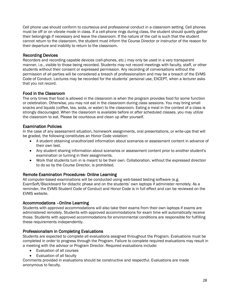Cell phone use should conform to courteous and professional conduct in a classroom setting. Cell phones must be off or on vibrate mode in class. If a cell-phone rings during class, the student should quietly gather their belongings if necessary and leave the classroom. If the nature of the call is such that the student cannot return to the classroom, the student must inform the Course Director or instructor of the reason for their departure and inability to return to the classroom.

# <span id="page-30-0"></span>Recording Devices

Recorders and recording capable devices (cell-phones, etc.) may only be used in a very transparent manner, i.e., visible to those being recorded. Students may not record meetings with faculty, staff, or other students without their consent or expressed permission. Any recording of conversations without the permission of all parties will be considered a breach of professionalism and may be a breach of the EVMS Code of Conduct. Lectures may be recorded for the students' personal use, EXCEPT, when a lecturer asks that you not record.

# <span id="page-30-1"></span>Food in the Classroom

The only times that food is allowed in the classroom is when the program provides food for some function or celebration. Otherwise, you may not eat in the classroom during class sessions. You may bring small snacks and liquids (coffee, tea, soda, or water) to the classroom. Eating a meal in the context of a class is strongly discouraged. When the classroom is available before or after scheduled classes, you may utilize the classroom to eat. Please be courteous and clean up after yourself.

# <span id="page-30-2"></span>Examination Policies

In the case of any assessment situation, homework assignments, oral presentations, or write-ups that will be graded, the following constitutes an Honor Code violation:

- A student obtaining unauthorized information about scenarios or assessment content in advance of their own test.
- Any student sharing information about scenarios or assessment content prior to another student's examination or turning in their assignments.
- Work that students turn in is meant to be their own. Collaboration, without the expressed direction to do so by the Course Director, is prohibited.

# <span id="page-30-3"></span>Remote Examination Procedures- Online Learning

All computer-based examinations will be conducted using web-based testing software (e.g. ExamSoft/Blackboard for didactic phase and on the students' own laptops if administer remotely. As a reminder, the EVMS Student Code of Conduct and Honor Code is in full effect and can be reviewed on the EVMS website.

# <span id="page-30-4"></span>Accommodations –Online Learning

Students with approved accommodations will also take their exams from their own laptops if exams are administered remotely. Students with approved accommodations for exam time will automatically receive those. Students with approved accommodations for environmental conditions are responsible for fulfilling these requirements independently.

# <span id="page-30-5"></span>Professionalism in Completing Evaluations

Students are expected to complete all evaluations assigned throughout the Program. Evaluations must be completed in order to progress through the Program. Failure to complete required evaluations may result in a meeting with the advisor or Program Director. Required evaluations include:

- Evaluation of all courses
- Evaluation of all faculty

Comments provided in evaluations should be constructive and respectful. Evaluations are made anonymous to faculty.